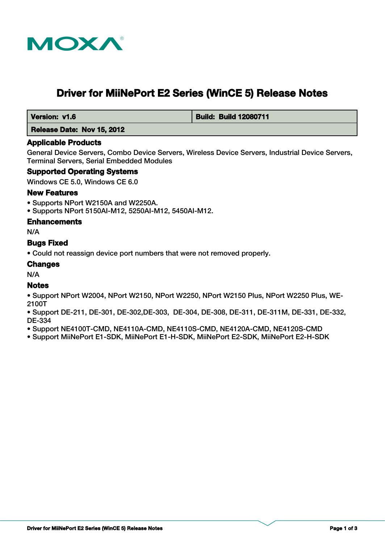

# **Driver for MiiNePort E2 Series (WinCE 5) Release Notes**

 **Version: v1.6 Build: Build: Build 12080711** 

#### **Release Date: Nov 15, 2012**

#### **Applicable Products**

General Device Servers, Combo Device Servers, Wireless Device Servers, Industrial Device Servers, Terminal Servers, Serial Embedded Modules

#### **Supported Operating Systems**

Windows CE 5.0, Windows CE 6.0

#### **New Features**

- Supports NPort W2150A and W2250A.
- Supports NPort 5150AI-M12, 5250AI-M12, 5450AI-M12.

#### **Enhancements**

N/A

#### **Bugs Fixed**

• Could not reassign device port numbers that were not removed properly.

#### **Changes**

N/A

#### **Notes**

- Support NPort W2004, NPort W2150, NPort W2250, NPort W2150 Plus, NPort W2250 Plus, WE-2100T
- Support DE-211, DE-301, DE-302,DE-303, DE-304, DE-308, DE-311, DE-311M, DE-331, DE-332, DE-334
- Support NE4100T-CMD, NE4110A-CMD, NE4110S-CMD, NE4120A-CMD, NE4120S-CMD
- Support MiiNePort E1-SDK, MiiNePort E1-H-SDK, MiiNePort E2-SDK, MiiNePort E2-H-SDK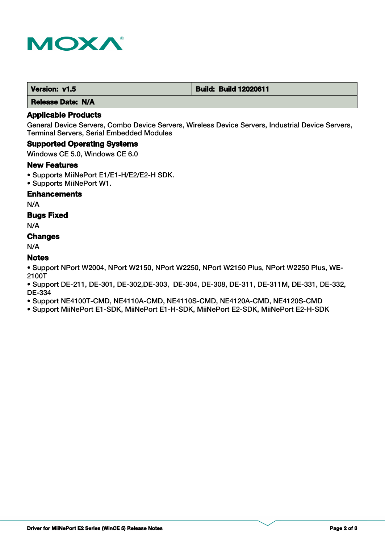

 **Release Date: N/A**

# **Applicable Products**

General Device Servers, Combo Device Servers, Wireless Device Servers, Industrial Device Servers, Terminal Servers, Serial Embedded Modules

#### **Supported Operating Systems**

Windows CE 5.0, Windows CE 6.0

#### **New Features**

- Supports MiiNePort E1/E1-H/E2/E2-H SDK.
- Supports MiiNePort W1.

#### **Enhancements**

N/A

### **Bugs Fixed**

N/A

# **Changes**

N/A

# **Notes**

• Support NPort W2004, NPort W2150, NPort W2250, NPort W2150 Plus, NPort W2250 Plus, WE-2100T

• Support DE-211, DE-301, DE-302,DE-303, DE-304, DE-308, DE-311, DE-311M, DE-331, DE-332, DE-334

• Support NE4100T-CMD, NE4110A-CMD, NE4110S-CMD, NE4120A-CMD, NE4120S-CMD

• Support MiiNePort E1-SDK, MiiNePort E1-H-SDK, MiiNePort E2-SDK, MiiNePort E2-H-SDK